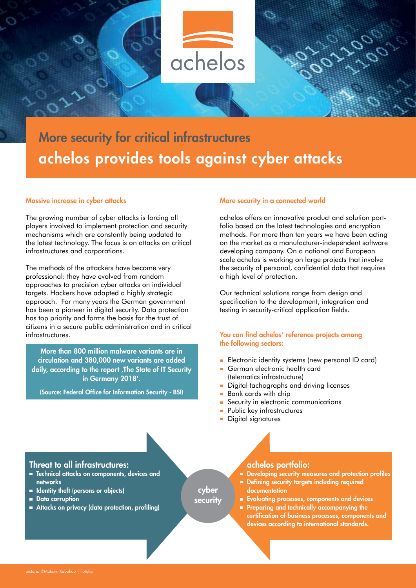

# More security for critical infrastructures achelos provides tools against cyber attacks

# Massive increase in cyber attacks

The growing number of cyber attacks is forcing all players involved to implement protection and security mechanisms which are constantly being updated to the latest technology. The focus is on attacks on critical infrastructures and corporations.

The methods of the attackers have become very professional: they have evolved from random approaches to precision cyber attacks on individual targets. Hackers have adapted a highly strategic approach. For many years the German government has been a pioneer in digital security. Data protection has top priority and forms the basis for the trust of citizens in a secure public administration and in critical infrastructures.

More than 800 million malware variants are in circulation and 380,000 new variants are added daily, according to the report , The State of IT Security in Germany 2018'.

(Source: Federal Office for Information Security - BSI)

#### More security in a connected world

achelos offers an innovative product and solution portfolio based on the latest technologies and encryption methods. For more than ten years we have been acting on the market as a manufacturer-independent software developing company. On a national and European scale achelos is working on large projects that involve the security of personal, confidential data that requires a high level of protection.

Our technical solutions range from design and specification to the development, integration and testing in security-critical application fields.

#### You can find achelos' reference projects among the following sectors:

- **Electronic identity systems (new personal ID card)**
- German electronic health card (telematics infrastructure)
- Digital tachographs and driving licenses ÷
- Bank cards with chip
- Security in electronic communications
- **Public key infrastructures**
- **Digital signatures**

# Threat to all infrastructures:

- **EXECUTE:** Technical attacks on components, devices and networks
- **In Identity theft (persons or objects)**
- **Data corruption**
- Attacks on privacy (data protection, profiling)

cyber

security

# achelos portfolio:

- Developing security measures and protection profiles
- Defining security targets including required documentation
- **Evaluating processes, components and devices**
- **Preparing and technically accompanying the** certification of business processes, components and devices according to international standards.